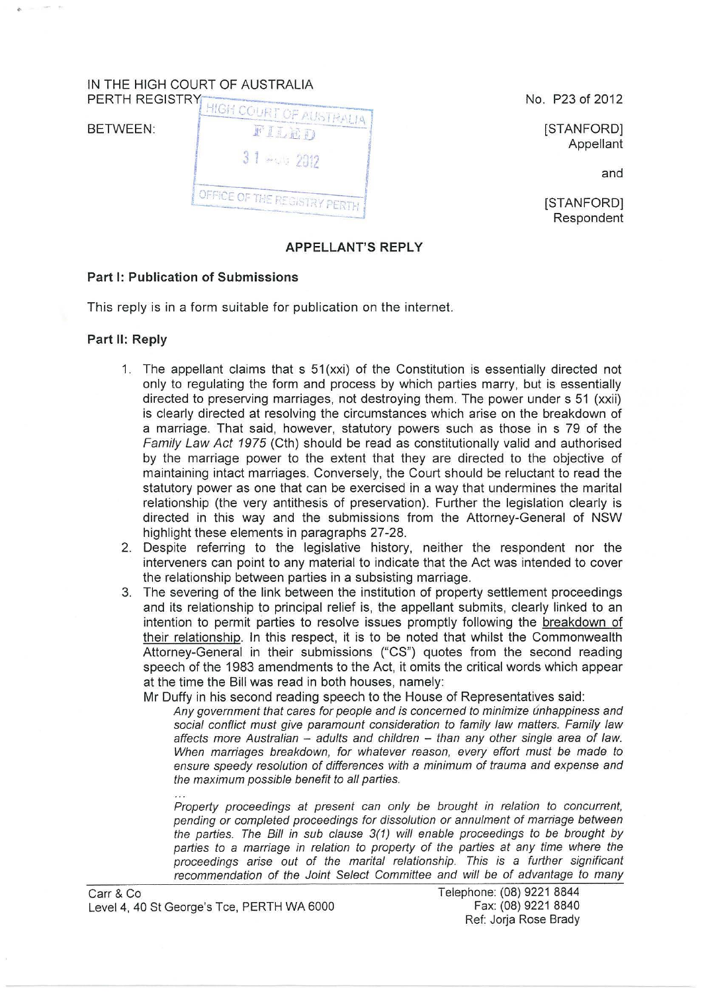## IN THE HIGH COURT OF AUSTRALIA



No. P23 of 2012

**ISTANFORDI** Appellant

and

[STANFORD] Respondent

## **APPELLANT'S REPLY**

## **Part 1: Publication of Submissions**

This reply is in a form suitable for publication on the internet.

## **Part II: Reply**

- 1. The appellant claims that s 51 (xxi) of the Constitution is essentially directed not only to regulating the form and process by which parties marry, but is essentially directed to preserving marriages, not destroying them. The power under s 51 (xxii) is clearly directed at resolving the circumstances which arise on the breakdown of a marriage. That said, however, statutory powers such as those in s 79 of the Family Law Act 1975 (Cth) should be read as constitutionally valid and authorised by the marriage power to the extent that they are directed to the objective of maintaining intact marriages. Conversely, the Court should be reluctant to read the statutory power as one that can be exercised in a way that undermines the marital relationship (the very antithesis of preservation). Further the legislation clearly is directed in this way and the submissions from the Attorney-General of NSW highlight these elements in paragraphs 27-28.
- 2. Despite referring to the legislative history, neither the respondent nor the interveners can point to any material to indicate that the Act was intended to cover the relationship between parties in a subsisting marriage.
- 3. The severing of the link between the institution of property settlement proceedings and its relationship to principal relief is, the appellant submits, clearly linked to an intention to permit parties to resolve issues promptly following the breakdown of their relationship. In this respect, it is to be noted that whilst the Commonwealth Attorney-General in their submissions ("CS") quotes from the second reading speech of the 1983 amendments to the Act, it omits the critical words which appear at the time the Bill was read in both houses, namely:

Mr Duffy in his second reading speech to the House of Representatives said:

Any government that cares for people and is concerned to minimize unhappiness and social conflict must give paramount consideration to family law matters. Family law affects more Australian  $-$  adults and children  $-$  than any other single area of law. When marriages breakdown, for whatever reason, every effort must be made to ensure speedy resolution of differences with a minimum of trauma and expense and the maximum possible benefit to all parties.

Property proceedings at present can only be brought in relation to concurrent, pending or completed proceedings for dissolution or annulment of marriage between the parties. The Bill in sub clause 3(1) will enable proceedings to be brought by parties to a marriage in relation to property of the parties at any time where the proceedings arise out of the marital relationship. This is a further significant recommendation of the Joint Select Committee and will be of advantage to many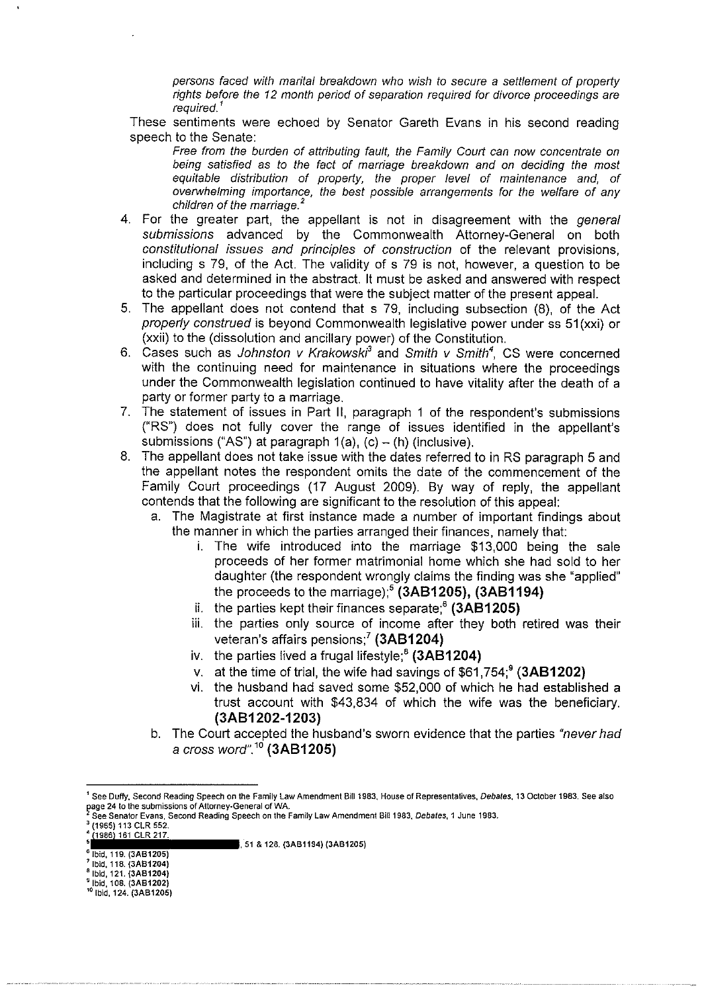persons faced with marital breakdown who wish to secure a settlement of property rights before the 12 month period of separation required for divorce proceedings are required.'

These sentiments were echoed by Senator Gareth Evans in his second reading speech to the Senate:

Free from the burden of attributing fault, the Family Court can now concentrate on being satisfied as to the fact of marriage breakdown and on deciding the most equitable distribution of property, the proper level of maintenance and, of overwhelming importance, the best possible arrangements for the welfare of any children of the marriage. *<sup>2</sup>*

- 4. For the greater part, the appellant is not in disagreement with the general submissions advanced by the Commonwealth Attorney-General on both constitutional issues and principles of construction of the relevant provisions, including s 79, of the Act. The validity of s 79 is not, however, a question to be asked and determined in the abstract. It must be asked and answered with respect to the particular proceedings that were the subject matter of the present appeal.
- 5. The appellant does not contend that s 79, including subsection (8), of the Act properly construed is beyond Commonwealth legislative power under ss 51(xxi) or (xxii) to the (dissolution and ancillary power) of the Constitution.
- 6. Cases such as Johnston v Krakowski<sup>3</sup> and Smith v Smith<sup>4</sup>, CS were concerned with the continuing need for maintenance in situations where the proceedings under the Commonwealth legislation continued to have vitality after the death of a party or former party to a marriage.
- 7. The statement of issues in Part II, paragraph 1 of the respondent's submissions ("RS") does not fully cover the range of issues identified in the appellant's submissions ("AS") at paragraph  $1(a)$ , (c) – (h) (inclusive).
- 8. The appellant does not take issue with the dates referred to in RS paragraph 5 and the appellant notes the respondent omits the date of the commencement of the Family Court proceedings (17 August 2009). By way of reply, the appellant contends that the following are significant to the resolution of this appeal:
	- a. The Magistrate at first instance made a number of important findings about the manner in which the parties arranged their finances, namely that:
		- i. The wife introduced into the marriage \$13,000 being the sale proceeds of her former matrimonial home which she had sold to her daughter (the respondent wrongly claims the finding was she "applied" the proceeds to the marriage);' **(3AB1205), (3AB1194)**
		- ii. the parties kept their finances separate;<sup>6</sup> (3AB1205)
		- iii. the parties only source of income after they both retired was their veteran's affairs pensions;<sup>7</sup> (3AB1204)
		- iv. the parties lived a frugal lifestyle;<sup>8</sup> (3AB1204)
		- v. at the time of trial, the wife had savings of \$61,754;<sup>9</sup> (3AB1202)
		- vi. the husband had saved some \$52,000 of which he had established a trust account with \$43,834 of which the wife was the beneficiary. **(3AB1202-1203)**
	- b. The Court accepted the husband's sworn evidence that the parties "never had a cross word". *<sup>10</sup>***(3AB1205)**

**161 CLR 217. 119. (3AB1205)** 1.51 & 128. (3AB1194) (3AB1205)

<sup>6</sup>**Ibid, 119. (3AB1205) <sup>7</sup> 1bid, 118. (3AB1204) <sup>a</sup>Ibid, 121. (3AB1204)** 9 **Ibid, 108. (3AB1202)** 10 **Ibid, 124. (3A81205)** 

<sup>1</sup>**See Duffy, Second Reading Speech on the Family Law Amendment Bill 1983, House of Representatives, Debates, 13 October 1983. See also**  ~age **24 to the submissions of Attorney-General of WA.** 

**See Senator Evans. Second Reading Speech on the Family Law Amendment Bill 1983, Debates, 1 June 1983.** 

<sup>3</sup>**(1965) 113 CLR 552.**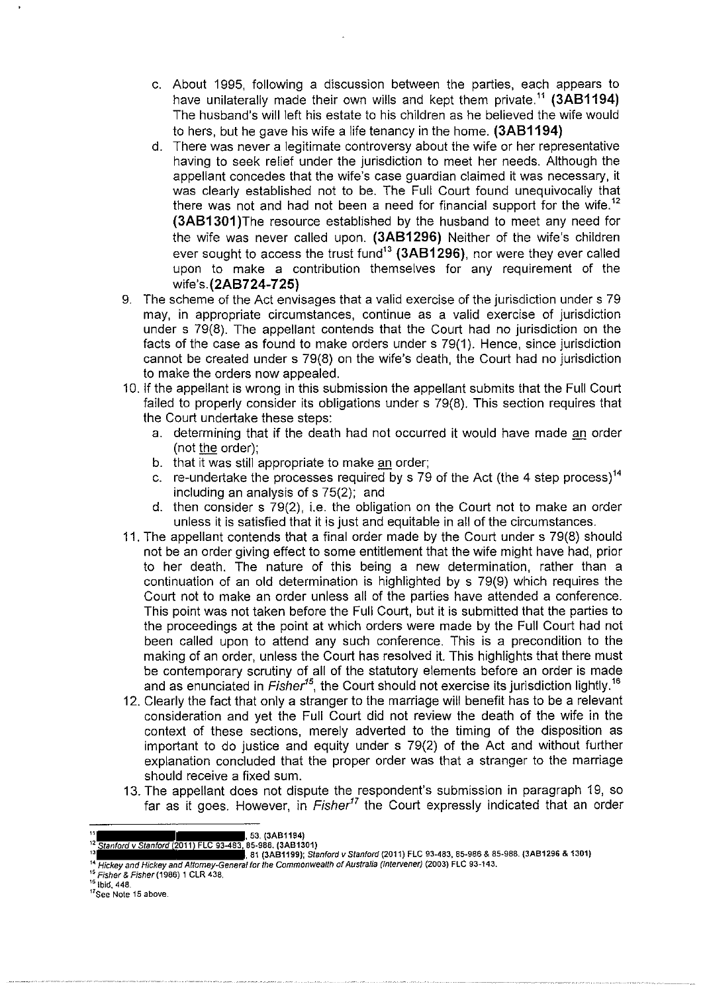- c. About 1995, following a discussion between the parties, each appears to have unilaterally made their own wills and kept them private.<sup>11</sup> (3AB1194) The husband's will left his estate to his children as he believed the wife would to hers, but he gave his wife a life tenancy in the home. **(3AB1194)**
- d. There was never a legitimate controversy about the wife or her representative having to seek relief under the jurisdiction to meet her needs. Although the appellant concedes that the wife's case guardian claimed it was necessary, it was clearly established not to be. The Full Court found unequivocally that there was not and had not been a need for financial support for the wife.<sup>12</sup> **(3AB1301** )The resource established by the husband to meet any need for the wife was never called upon. **(3AB1296)** Neither of the wife's children ever sought to access the trust fund<sup>13</sup> (3AB1296), nor were they ever called upon to make a contribution themselves for any requirement of the **wife's.(2AB724-725)**
- 9. The scheme of the Act envisages that a valid exercise of the jurisdiction under s 79 may, in appropriate circumstances, continue as a valid exercise of jurisdiction under s 79(8). The appellant contends that the Court had no jurisdiction on the facts of the case as found to make orders under s 79(1). Hence, since jurisdiction cannot be created under s 79(8) on the wife's death, the Court had no jurisdiction to make the orders now appealed.
- 10. If the appellant is wrong in this submission the appellant submits that the Full Court failed to properly consider its obligations under s 79(8). This section requires that the Court undertake these steps:
	- a. determining that if the death had not occurred it would have made an order (not the order);
	- b. that it was still appropriate to make an order;
	- c. re-undertake the processes required by s 79 of the Act (the 4 step process)<sup>14</sup> including an analysis of s 75(2); and
	- d. then consider s 79(2), i.e. the obligation on the Court not to make an order unless it is satisfied that it is just and equitable in all of the circumstances.
- 11. The appellant contends that a final order made by the Court under s 79(8) should not be an order giving effect to some entitlement that the wife might have had, prior to her death. The nature of this being a new determination, rather than a continuation of an old determination is highlighted by s 79(9) which requires the Court not to make an order unless all of the parties have attended a conference. This point was not taken before the Full Court, but it is submitted that the parties to the proceedings at the point at which orders were made by the Full Court had not been called upon to attend any such conference. This is a precondition to the making of an order, unless the Court has resolved it. This highlights that there must be contemporary scrutiny of all of the statutory elements before an order is made and as enunciated in Fisher*15,* the Court should not exercise its jurisdiction lightly. <sup>16</sup>
- 12. Clearly the fact that only a stranger to the marriage will benefit has to be a relevant consideration and yet the Full Court did not review the death of the wife in the context of these sections, merely adverted to the timing of the disposition as important to do justice and equity under s 79(2) of the Act and without further explanation concluded that the proper order was that a stranger to the marriage should receive a fixed sum.
- 13. The appellant does not dispute the respondent's submission in paragraph 19, so far as it goes. However, in Fisher<sup>17</sup> the Court expressly indicated that an order

<sup>11</sup>**, 53. (3AB1194)** 

<sup>12</sup>**Stanford v Stanford (2011) FLC 93483, 85-988. (3AB1301) u 81 (3AB1199); Stanford v Stanford {2011) FLC 93-483, 85-986 & 85-988. {3A81296 & 1301) H Hickey and Hickey and Attorney-General tor the Commonwealth of Australia (Intervener) (2003) FLC 93-143.** 

<sup>15</sup>**Fisher & Fisher (1986) 1 CLR 438.** 

<sup>16</sup>**Ibid, 448. <sup>17</sup>See Note 15 above.**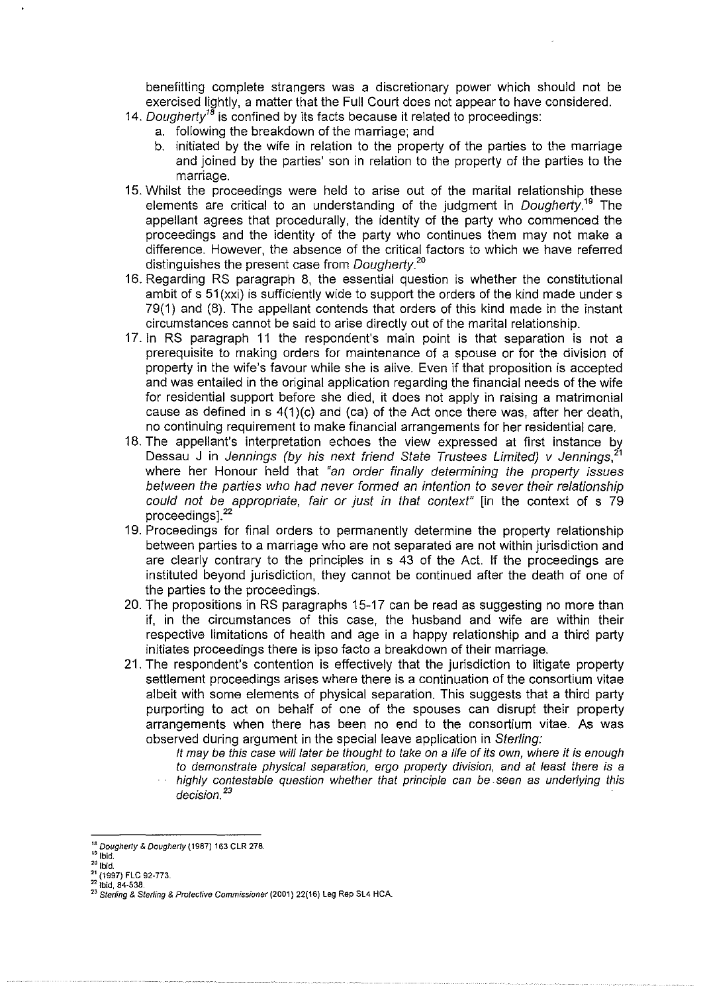benefitting complete strangers was a discretionary power which should not be exercised lightly, a matter that the Full Court does not appear to have considered.

- 14. Dougherty<sup>18</sup> is confined by its facts because it related to proceedings:
	- a. following the breakdown of the marriage; and
	- b. initiated by the wife in relation to the property of the parties to the marriage and joined by the parties' son in relation to the property of the parties to the marriage.
- 15. Whilst the proceedings were held to arise out of the marital relationship these elements are critical to an understanding of the judgment in *Dougherty*.<sup>19</sup> The appellant agrees that procedurally, the identity of the party who commenced the proceedings and the identity of the party who continues them may not make a difference. However, the absence of the critical factors to which we have referred distinguishes the present case from Dougherty. *<sup>20</sup>*
- 16. Regarding RS paragraph 8, the essential question is whether the constitutional ambit of s 51(xxi) is sufficiently wide to support the orders of the kind made under s 79(1) and (8). The appellant contends that orders of this kind made in the instant circumstances cannot be said to arise directly out of the marital relationship.
- 17. In RS paragraph 11 the respondent's main point is that separation is not a prerequisite to making orders for maintenance of a spouse or for the division of property in the wife's favour while she is alive. Even if that proposition is accepted and was entailed in the original application regarding the financial needs of the wife for residential support before she died, it does not apply in raising a matrimonial cause as defined in  $s(1)(c)$  and (ca) of the Act once there was, after her death, no continuing requirement to make financial arrangements for her residential care.
- 18. The appellant's interpretation echoes the view expressed at first instance by Dessau J in Jennings (by his next friend State Trustees Limited) v Jennings, where her Honour held that "an order finally determining the property issues between the parties who had never formed an intention to sever their relationship could not be appropriate, fair or just in that context" [in the context of s 79 proceedings].<sup>22</sup>
- 19. Proceedings for final orders to permanently determine the property relationship between parties to a marriage who are not separated are not within jurisdiction and are clearly contrary to the principles in s 43 of the Act. If the proceedings are instituted beyond jurisdiction, they cannot be continued after the death of one of the parties to the proceedings.
- 20. The propositions in RS paragraphs 15-17 can be read as suggesting no more than if, in the circumstances of this case, the husband and wife are within their respective limitations of health and age in a happy relationship and a third party initiates proceedings there is ipso facto a breakdown of their marriage.
- 21. The respondent's contention is effectively that the jurisdiction to litigate property settlement proceedings arises where there is a continuation of the consortium vitae albeit with some elements of physical separation. This suggests that a third party purporting to act on behalf of one of the spouses can disrupt their property arrangements when there has been no end to the consortium vitae. As was observed during argument in the special leave application in Sterling:
	- It may be this case will later be thought to take on a life of its own, where it is enough to demonstrate physical separation, ergo property division, and at least there is a highly contestable question whether that principle can be. seen as underlying this decision.<sup>23</sup>

<sup>&</sup>lt;sup>16</sup> *Dougherty & Dougherty* (1987) 163 CLR 278.<br><sup>19</sup> <sup>Ibid.</sup><br><sup>21</sup> **Ibid.** <br><sup>21</sup> (1997) FLC 92-773. <sup>22</sup> **Ibid.** 84-538.

**<sup>22</sup> lbid, 84-538.** 23 **Sterling & Sterling & Protective Commissioner (2001) 22(16) Leg Rep SL4 HCA.**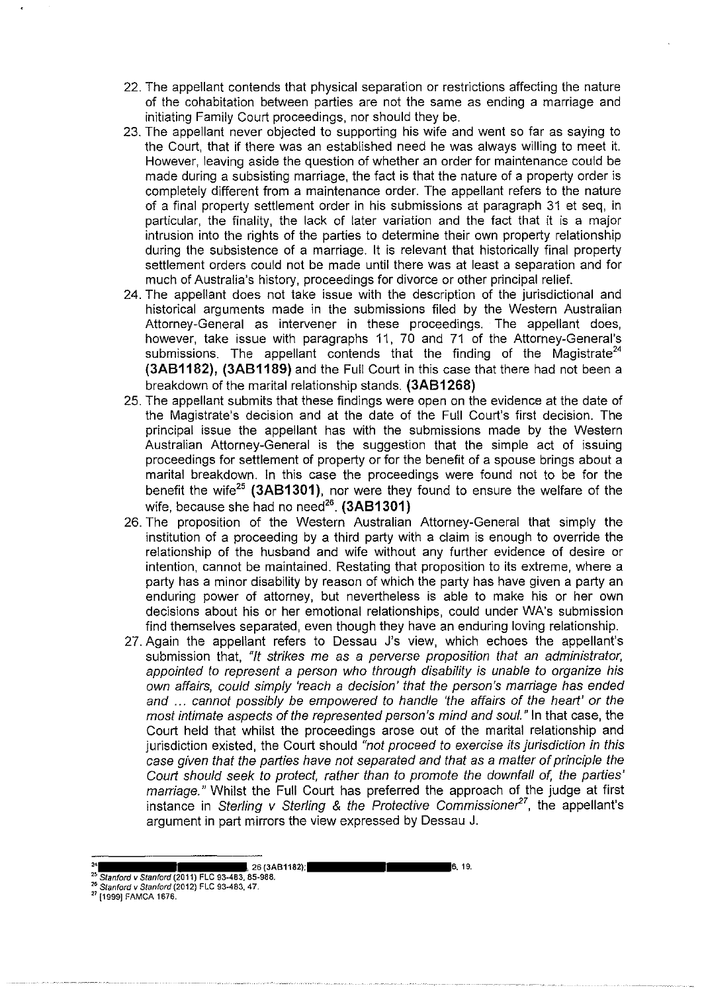- 22. The appellant contends that physical separation or restrictions affecting the nature of the cohabitation between parties are not the same as ending a marriage and initiating Family Court proceedings, nor should they be.
- 23. The appellant never objected to supporting his wife and went so far as saying to the Court, that if there was an established need he was always willing to meet it. However, leaving aside the question of whether an order for maintenance could be made during a subsisting marriage, the fact is that the nature of a property order is completely different from a maintenance order. The appellant refers to the nature of a final property settlement order in his submissions at paragraph 31 et seq, in particular, the finality, the lack of later variation and the fact that it is a major intrusion into the rights of the parties to determine their own property relationship during the subsistence of a marriage. It is relevant that historically final property settlement orders could not be made until there was at least a separation and for much of Australia's history, proceedings for divorce or other principal relief.
- 24. The appellant does not take issue with the description of the jurisdictional and historical arguments made in the submissions filed by the Western Australian Attorney-General as intervener in these proceedings. The appellant does, however, take issue with paragraphs 11, 70 and 71 of the Attorney-General's submissions. The appellant contends that the finding of the Magistrate<sup>24</sup> **(3AB1182), (3AB1189)** and the Full Court in this case that there had not been a breakdown of the marital relationship stands. **(3AB1268)**
- 25. The appellant submits that these findings were open on the evidence at the date of the Magistrate's decision and at the date of the Full Court's first decision. The principal issue the appellant has with the submissions made by the Western Australian Attorney-General is the suggestion that the simple act of issuing proceedings for settlement of property or for the benefit of a spouse brings about a marital breakdown. In this case the proceedings were found not to be for the benefit the wife<sup>25</sup>**(3AB1301** ), nor were they found to ensure the welfare of the wife, because she had no need<sup>26</sup>. **(3AB1301)**
- 26. The proposition of the Western Australian Attorney-General that simply the institution of a proceeding by a third party with a claim is enough to override the relationship of the husband and wife without any further evidence of desire or intention, cannot be maintained. Restating that proposition to its extreme, where a party has a minor disability by reason of which the party has have given a party an enduring power of attorney, but nevertheless is able to make his or her own decisions about his or her emotional relationships, could under WA's submission find themselves separated, even though they have an enduring loving relationship.
- 27. Again the appellant refers to Dessau J's view, which echoes the appellant's submission that, "It strikes me as a perverse proposition that an administrator, appointed to represent a person who through disability is unable to organize his own affairs, could simply 'reach a decision' that the person's marriage has ended and ... cannot possibly be empowered to handle 'the affairs of the heart' or the most intimate aspects of the represented person's mind and soul." In that case, the Court held that whilst the proceedings arose out of the marital relationship and jurisdiction existed, the Court should "not proceed to exercise its jurisdiction in this case given that the parties have not separated and that as a matter of principle the Court should seek to protect, rather than to promote the downfall of, the parties' marriage." Whilst the Full Court has preferred the approach of the judge at first instance in Sterling v Sterling & the Protective Commissioner<sup>27</sup>, the appellant's argument in part mirrors the view expressed by Dessau J.

**<sup>26 (3</sup>AB1182); 6, 19. 6, 19.** 

<sup>25</sup>**Stanford v Stanford (2011) FLC 93-483, 85-988.** 26 **Stanford v Stanford (2012) FLC 93-483, 47.** 27 **{1999] FAMCA 1676.**